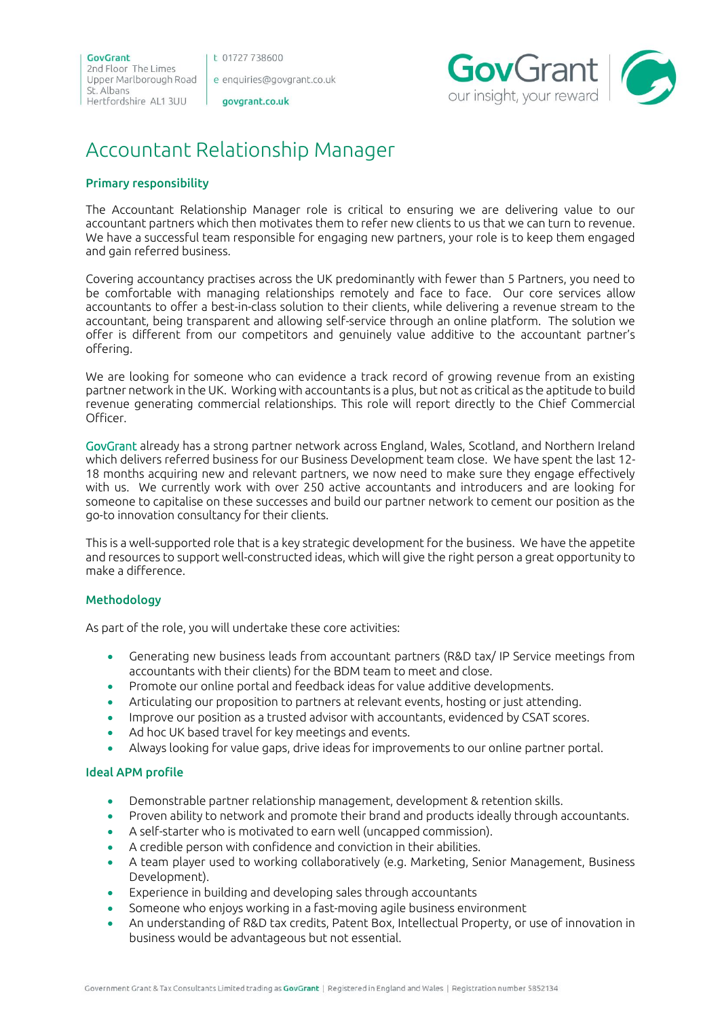t 01727 738600

e enquiries@govgrant.co.uk

govgrant.co.uk



# Accountant Relationship Manager

# Primary responsibility

The Accountant Relationship Manager role is critical to ensuring we are delivering value to our accountant partners which then motivates them to refer new clients to us that we can turn to revenue. We have a successful team responsible for engaging new partners, your role is to keep them engaged and gain referred business.

Covering accountancy practises across the UK predominantly with fewer than 5 Partners, you need to be comfortable with managing relationships remotely and face to face. Our core services allow accountants to offer a best-in-class solution to their clients, while delivering a revenue stream to the accountant, being transparent and allowing self-service through an online platform. The solution we offer is different from our competitors and genuinely value additive to the accountant partner's offering.

We are looking for someone who can evidence a track record of growing revenue from an existing partner network in the UK. Working with accountants is a plus, but not as critical as the aptitude to build revenue generating commercial relationships. This role will report directly to the Chief Commercial Officer.

GovGrant already has a strong partner network across England, Wales, Scotland, and Northern Ireland which delivers referred business for our Business Development team close. We have spent the last 12- 18 months acquiring new and relevant partners, we now need to make sure they engage effectively with us. We currently work with over 250 active accountants and introducers and are looking for someone to capitalise on these successes and build our partner network to cement our position as the go-to innovation consultancy for their clients.

This is a well-supported role that is a key strategic development for the business. We have the appetite and resources to support well-constructed ideas, which will give the right person a great opportunity to make a difference.

# Methodology

As part of the role, you will undertake these core activities:

- Generating new business leads from accountant partners (R&D tax/ IP Service meetings from accountants with their clients) for the BDM team to meet and close.
- Promote our online portal and feedback ideas for value additive developments.
- Articulating our proposition to partners at relevant events, hosting or just attending.
- Improve our position as a trusted advisor with accountants, evidenced by CSAT scores.
- Ad hoc UK based travel for key meetings and events.
- Always looking for value gaps, drive ideas for improvements to our online partner portal.

# Ideal APM profile

- Demonstrable partner relationship management, development & retention skills.
- Proven ability to network and promote their brand and products ideally through accountants.
- A self-starter who is motivated to earn well (uncapped commission).
- A credible person with confidence and conviction in their abilities.
- A team player used to working collaboratively (e.g. Marketing, Senior Management, Business Development).
- Experience in building and developing sales through accountants
- Someone who enjoys working in a fast-moving agile business environment
- An understanding of R&D tax credits, Patent Box, Intellectual Property, or use of innovation in business would be advantageous but not essential.